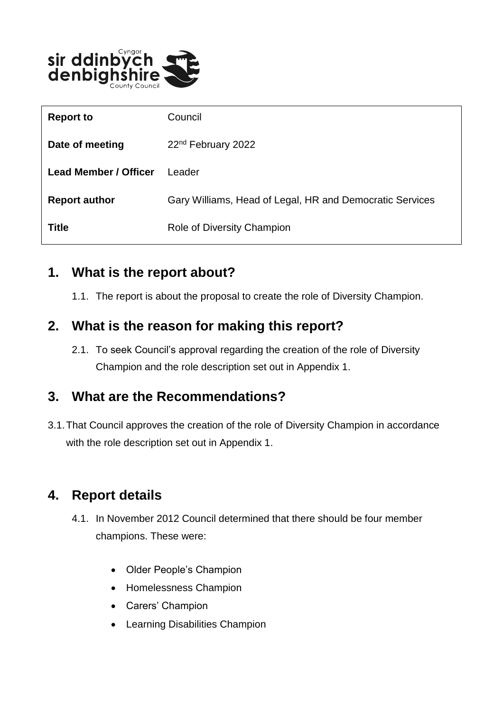

| <b>Report to</b>             | Council                                                  |
|------------------------------|----------------------------------------------------------|
| Date of meeting              | 22 <sup>nd</sup> February 2022                           |
| <b>Lead Member / Officer</b> | I eader                                                  |
| <b>Report author</b>         | Gary Williams, Head of Legal, HR and Democratic Services |
| <b>Title</b>                 | Role of Diversity Champion                               |

#### **1. What is the report about?**

1.1. The report is about the proposal to create the role of Diversity Champion.

#### **2. What is the reason for making this report?**

2.1. To seek Council's approval regarding the creation of the role of Diversity Champion and the role description set out in Appendix 1.

### **3. What are the Recommendations?**

3.1.That Council approves the creation of the role of Diversity Champion in accordance with the role description set out in Appendix 1.

### **4. Report details**

- 4.1. In November 2012 Council determined that there should be four member champions. These were:
	- Older People's Champion
	- Homelessness Champion
	- Carers' Champion
	- Learning Disabilities Champion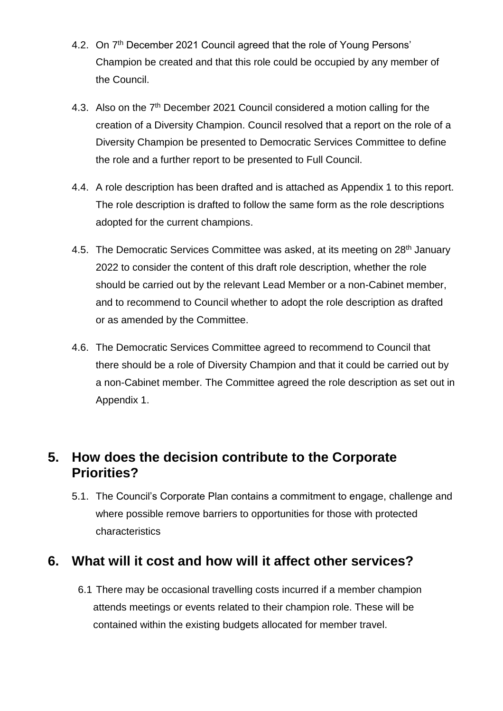- 4.2. On 7<sup>th</sup> December 2021 Council agreed that the role of Young Persons' Champion be created and that this role could be occupied by any member of the Council.
- 4.3. Also on the 7<sup>th</sup> December 2021 Council considered a motion calling for the creation of a Diversity Champion. Council resolved that a report on the role of a Diversity Champion be presented to Democratic Services Committee to define the role and a further report to be presented to Full Council.
- 4.4. A role description has been drafted and is attached as Appendix 1 to this report. The role description is drafted to follow the same form as the role descriptions adopted for the current champions.
- 4.5. The Democratic Services Committee was asked, at its meeting on 28<sup>th</sup> January 2022 to consider the content of this draft role description, whether the role should be carried out by the relevant Lead Member or a non-Cabinet member, and to recommend to Council whether to adopt the role description as drafted or as amended by the Committee.
- 4.6. The Democratic Services Committee agreed to recommend to Council that there should be a role of Diversity Champion and that it could be carried out by a non-Cabinet member. The Committee agreed the role description as set out in Appendix 1.

### **5. How does the decision contribute to the Corporate Priorities?**

5.1. The Council's Corporate Plan contains a commitment to engage, challenge and where possible remove barriers to opportunities for those with protected characteristics

### **6. What will it cost and how will it affect other services?**

6.1 There may be occasional travelling costs incurred if a member champion attends meetings or events related to their champion role. These will be contained within the existing budgets allocated for member travel.